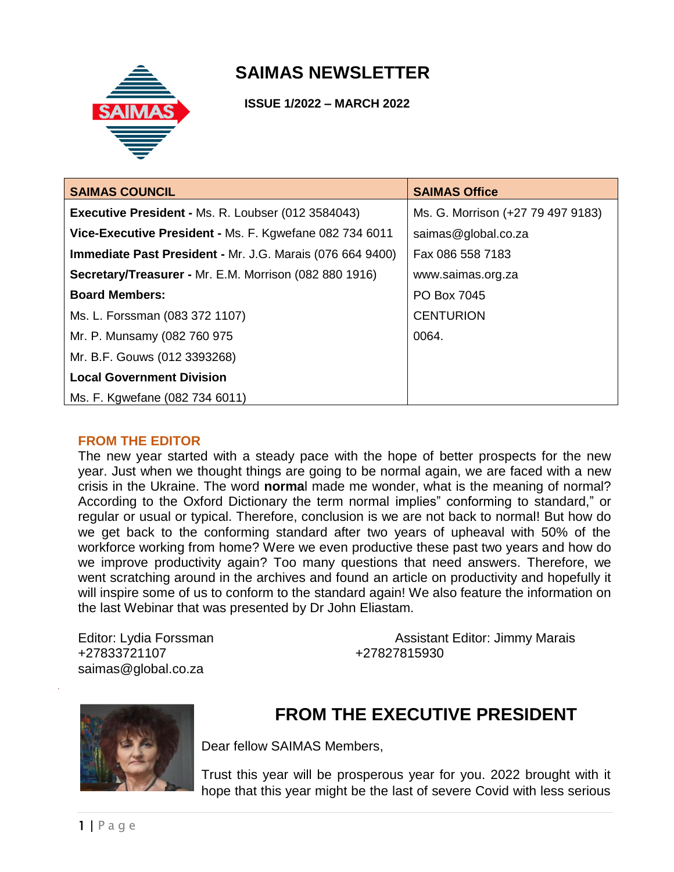

# **SAIMAS NEWSLETTER**

 **ISSUE 1/2022 – MARCH 2022**

| <b>SAIMAS COUNCIL</b>                                            | <b>SAIMAS Office</b>              |
|------------------------------------------------------------------|-----------------------------------|
| Executive President - Ms. R. Loubser (012 3584043)               | Ms. G. Morrison (+27 79 497 9183) |
| Vice-Executive President - Ms. F. Kgwefane 082 734 6011          | saimas@global.co.za               |
| <b>Immediate Past President - Mr. J.G. Marais (076 664 9400)</b> | Fax 086 558 7183                  |
| Secretary/Treasurer - Mr. E.M. Morrison (082 880 1916)           | www.saimas.org.za                 |
| <b>Board Members:</b>                                            | PO Box 7045                       |
| Ms. L. Forssman (083 372 1107)                                   | <b>CENTURION</b>                  |
| Mr. P. Munsamy (082 760 975                                      | 0064.                             |
| Mr. B.F. Gouws (012 3393268)                                     |                                   |
| <b>Local Government Division</b>                                 |                                   |
| Ms. F. Kgwefane (082 734 6011)                                   |                                   |

#### **FROM THE EDITOR**

The new year started with a steady pace with the hope of better prospects for the new year. Just when we thought things are going to be normal again, we are faced with a new crisis in the Ukraine. The word **norma**l made me wonder, what is the meaning of normal? According to the Oxford Dictionary the term normal implies" conforming to standard," or regular or usual or typical. Therefore, conclusion is we are not back to normal! But how do we get back to the conforming standard after two years of upheaval with 50% of the workforce working from home? Were we even productive these past two years and how do we improve productivity again? Too many questions that need answers. Therefore, we went scratching around in the archives and found an article on productivity and hopefully it will inspire some of us to conform to the standard again! We also feature the information on the last Webinar that was presented by Dr John Eliastam.

+27833721107 +27827815930 saimas@global.co.za

Editor: Lydia Forssman **Assistant Editor: Jimmy Marais** Assistant Editor: Jimmy Marais



# **FROM THE EXECUTIVE PRESIDENT**

Dear fellow SAIMAS Members,

Trust this year will be prosperous year for you. 2022 brought with it hope that this year might be the last of severe Covid with less serious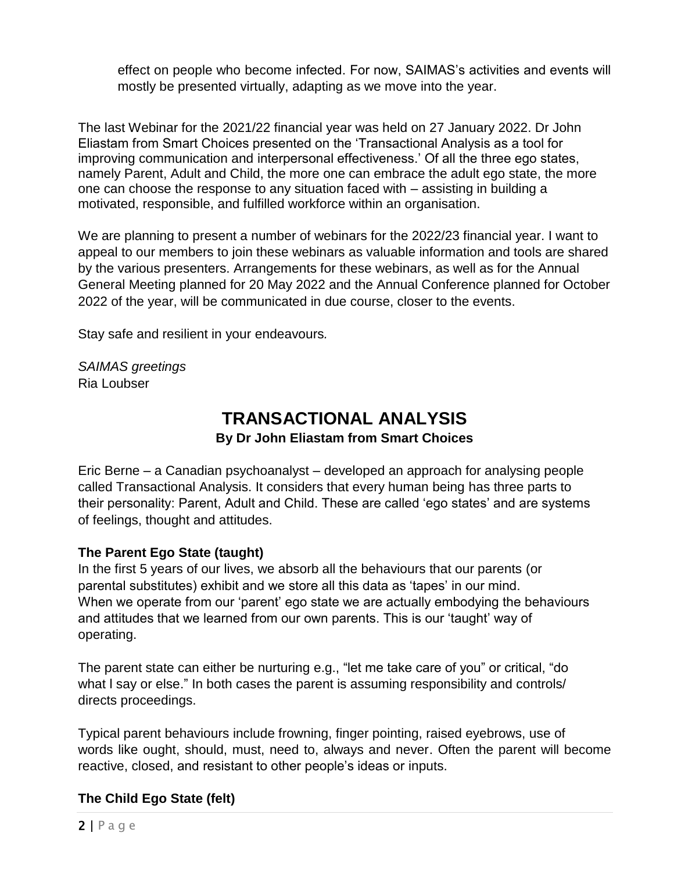effect on people who become infected. For now, SAIMAS's activities and events will mostly be presented virtually, adapting as we move into the year.

The last Webinar for the 2021/22 financial year was held on 27 January 2022. Dr John Eliastam from Smart Choices presented on the 'Transactional Analysis as a tool for improving communication and interpersonal effectiveness.' Of all the three ego states, namely Parent, Adult and Child, the more one can embrace the adult ego state, the more one can choose the response to any situation faced with – assisting in building a motivated, responsible, and fulfilled workforce within an organisation.

We are planning to present a number of webinars for the 2022/23 financial year. I want to appeal to our members to join these webinars as valuable information and tools are shared by the various presenters. Arrangements for these webinars, as well as for the Annual General Meeting planned for 20 May 2022 and the Annual Conference planned for October 2022 of the year, will be communicated in due course, closer to the events.

Stay safe and resilient in your endeavours*.*

*SAIMAS greetings* Ria Loubser

# **TRANSACTIONAL ANALYSIS**

### **By Dr John Eliastam from Smart Choices**

Eric Berne – a Canadian psychoanalyst – developed an approach for analysing people called Transactional Analysis. It considers that every human being has three parts to their personality: Parent, Adult and Child. These are called 'ego states' and are systems of feelings, thought and attitudes.

#### **The Parent Ego State (taught)**

In the first 5 years of our lives, we absorb all the behaviours that our parents (or parental substitutes) exhibit and we store all this data as 'tapes' in our mind. When we operate from our 'parent' ego state we are actually embodying the behaviours and attitudes that we learned from our own parents. This is our 'taught' way of operating.

The parent state can either be nurturing e.g., "let me take care of you" or critical, "do what I say or else." In both cases the parent is assuming responsibility and controls/ directs proceedings.

Typical parent behaviours include frowning, finger pointing, raised eyebrows, use of words like ought, should, must, need to, always and never. Often the parent will become reactive, closed, and resistant to other people's ideas or inputs.

### **The Child Ego State (felt)**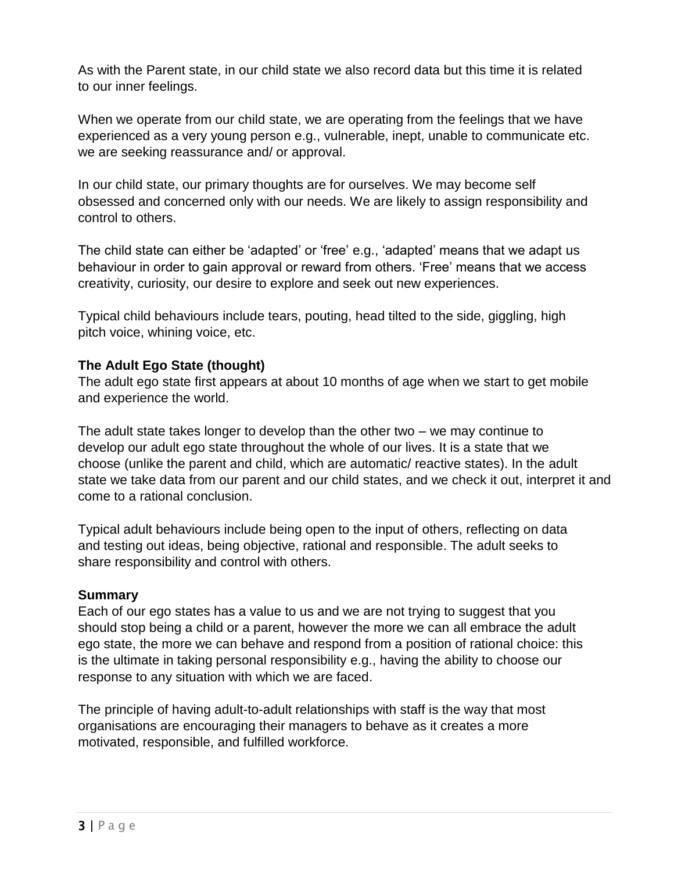As with the Parent state, in our child state we also record data but this time it is related to our inner feelings.

When we operate from our child state, we are operating from the feelings that we have experienced as a very young person e.g., vulnerable, inept, unable to communicate etc. we are seeking reassurance and/ or approval.

In our child state, our primary thoughts are for ourselves. We may become self obsessed and concerned only with our needs. We are likely to assign responsibility and control to others.

The child state can either be 'adapted' or 'free' e.g., 'adapted' means that we adapt us behaviour in order to gain approval or reward from others. 'Free' means that we access creativity, curiosity, our desire to explore and seek out new experiences.

Typical child behaviours include tears, pouting, head tilted to the side, giggling, high pitch voice, whining voice, etc.

### **The Adult Ego State (thought)**

The adult ego state first appears at about 10 months of age when we start to get mobile and experience the world.

The adult state takes longer to develop than the other two – we may continue to develop our adult ego state throughout the whole of our lives. It is a state that we choose (unlike the parent and child, which are automatic/ reactive states). In the adult state we take data from our parent and our child states, and we check it out, interpret it and come to a rational conclusion.

Typical adult behaviours include being open to the input of others, reflecting on data and testing out ideas, being objective, rational and responsible. The adult seeks to share responsibility and control with others.

#### **Summary**

Each of our ego states has a value to us and we are not trying to suggest that you should stop being a child or a parent, however the more we can all embrace the adult ego state, the more we can behave and respond from a position of rational choice: this is the ultimate in taking personal responsibility e.g., having the ability to choose our response to any situation with which we are faced.

The principle of having adult-to-adult relationships with staff is the way that most organisations are encouraging their managers to behave as it creates a more motivated, responsible, and fulfilled workforce.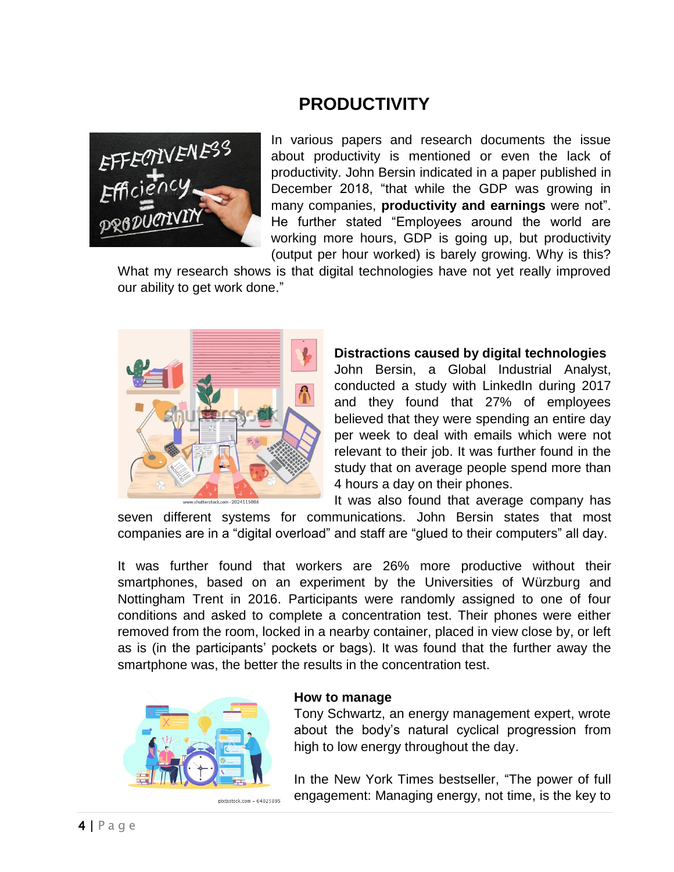# **PRODUCTIVITY**



In various papers and research documents the issue about productivity is mentioned or even the lack of productivity. John Bersin indicated in a paper published in December 2018, "that while the GDP was growing in many companies, **productivity and earnings** were not". He further stated "Employees around the world are working more hours, GDP is going up, but productivity (output per hour worked) is barely growing. Why is this?

What my research shows is that digital technologies have not yet really improved our ability to get work done."



## **Distractions caused by digital technologies**

John Bersin, a Global Industrial Analyst, conducted a study with LinkedIn during 2017 and they found that 27% of employees believed that they were spending an entire day per week to deal with emails which were not relevant to their job. It was further found in the study that on average people spend more than 4 hours a day on their phones.

It was also found that average company has seven different systems for communications. John Bersin states that most

companies are in a "digital overload" and staff are "glued to their computers" all day.

It was further found that workers are 26% more productive without their smartphones, based on an experiment by the Universities of Würzburg and Nottingham Trent in 2016. Participants were randomly assigned to one of four conditions and asked to complete a concentration test. Their phones were either removed from the room, locked in a nearby container, placed in view close by, or left as is (in the participants' pockets or bags). It was found that the further away the smartphone was, the better the results in the concentration test.



#### **How to manage**

Tony Schwartz, an energy management expert, wrote about the body's natural cyclical progression from high to low energy throughout the day.

In the New York Times bestseller, "The power of full engagement: Managing energy, not time, is the key to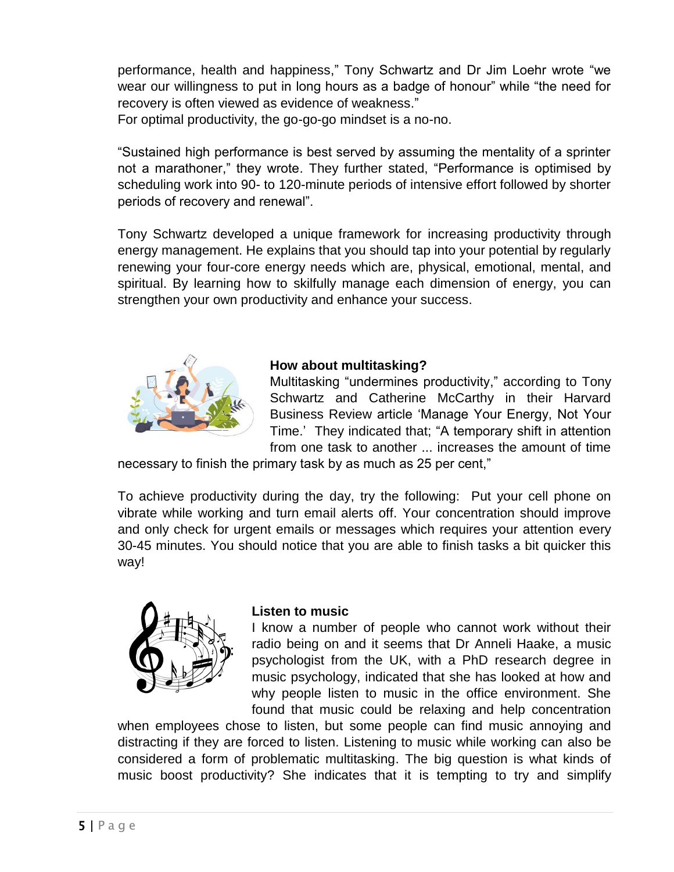performance, health and happiness," Tony Schwartz and Dr Jim Loehr wrote "we wear our willingness to put in long hours as a badge of honour" while "the need for recovery is often viewed as evidence of weakness."

For optimal productivity, the go-go-go mindset is a no-no.

"Sustained high performance is best served by assuming the mentality of a sprinter not a marathoner," they wrote. They further stated, "Performance is optimised by scheduling work into 90- to 120-minute periods of intensive effort followed by shorter periods of recovery and renewal".

Tony Schwartz developed a unique framework for increasing productivity through energy management. He explains that you should tap into your potential by regularly renewing your four-core energy needs which are, physical, emotional, mental, and spiritual. By learning how to skilfully manage each dimension of energy, you can strengthen your own productivity and enhance your success.



## **How about multitasking?**

Multitasking "undermines productivity," according to Tony Schwartz and Catherine McCarthy in their Harvard Business Review article 'Manage Your Energy, Not Your Time.' They indicated that; "A temporary shift in attention from one task to another ... increases the amount of time

necessary to finish the primary task by as much as 25 per cent,"

To achieve productivity during the day, try the following: Put your cell phone on vibrate while working and turn email alerts off. Your concentration should improve and only check for urgent emails or messages which requires your attention every 30-45 minutes. You should notice that you are able to finish tasks a bit quicker this way!



#### **Listen to music**

I know a number of people who cannot work without their radio being on and it seems that Dr Anneli Haake, a music psychologist from the UK, with a PhD research degree in music psychology, indicated that she has looked at how and why people listen to music in the office environment. She found that music could be relaxing and help concentration

when employees chose to listen, but some people can find music annoying and distracting if they are forced to listen. Listening to music while working can also be considered a form of problematic multitasking. The big question is what kinds of music boost productivity? She indicates that it is tempting to try and simplify